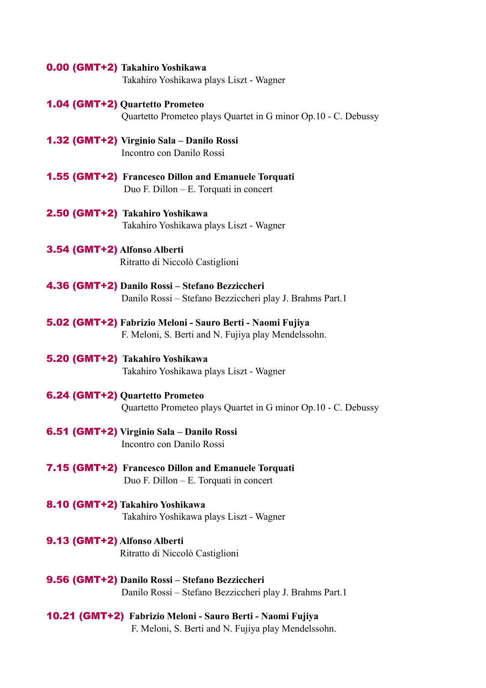## 0.00 (GMT+2) **Takahiro Yoshikawa**

Takahiro Yoshikawa plays Liszt - Wagner

- 1.04 (GMT+2) **Quartetto Prometeo** Quartetto Prometeo plays Quartet in G minor Op.10 - C. Debussy
- 1.32 (GMT+2) **Virginio Sala Danilo Rossi** Incontro con Danilo Rossi
- 1.55 (GMT+2) **Francesco Dillon and Emanuele Torquati** Duo F. Dillon – E. Torquati in concert
- 2.50 (GMT+2) **Takahiro Yoshikawa** Takahiro Yoshikawa plays Liszt - Wagner
- 3.54 (GMT+2) **Alfonso Alberti**  Ritratto di Niccolò Castiglioni
- 4.36 (GMT+2) **Danilo Rossi Stefano Bezziccheri** Danilo Rossi – Stefano Bezziccheri play J. Brahms Part.1
- 5.02 (GMT+2) **Fabrizio Meloni Sauro Berti Naomi Fujiya** F. Meloni, S. Berti and N. Fujiya play Mendelssohn.
- 5.20 (GMT+2) **Takahiro Yoshikawa** Takahiro Yoshikawa plays Liszt - Wagner
- 6.24 (GMT+2) **Quartetto Prometeo** Quartetto Prometeo plays Quartet in G minor Op.10 - C. Debussy
- 6.51 (GMT+2) **Virginio Sala Danilo Rossi** Incontro con Danilo Rossi
- 7.15 (GMT+2) **Francesco Dillon and Emanuele Torquati** Duo F. Dillon – E. Torquati in concert
- 8.10 (GMT+2) **Takahiro Yoshikawa** Takahiro Yoshikawa plays Liszt - Wagner
- 9.13 (GMT+2) **Alfonso Alberti**  Ritratto di Niccolò Castiglioni
- 9.56 (GMT+2) **Danilo Rossi Stefano Bezziccheri** Danilo Rossi – Stefano Bezziccheri play J. Brahms Part.1
- 10.21 (GMT+2) **Fabrizio Meloni Sauro Berti Naomi Fujiya** F. Meloni, S. Berti and N. Fujiya play Mendelssohn.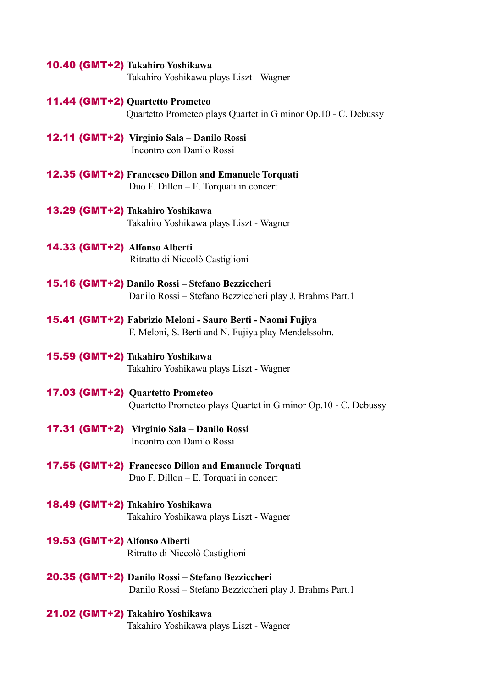## 10.40 (GMT+2) **Takahiro Yoshikawa** Takahiro Yoshikawa plays Liszt - Wagner 11.44 (GMT+2) **Quartetto Prometeo** Quartetto Prometeo plays Quartet in G minor Op.10 - C. Debussy 12.11 (GMT+2) **Virginio Sala – Danilo Rossi** Incontro con Danilo Rossi 12.35 (GMT+2) **Francesco Dillon and Emanuele Torquati** Duo F. Dillon – E. Torquati in concert 13.29 (GMT+2) **Takahiro Yoshikawa** Takahiro Yoshikawa plays Liszt - Wagner 14.33 (GMT+2) **Alfonso Alberti**  Ritratto di Niccolò Castiglioni 15.16 (GMT+2) **Danilo Rossi – Stefano Bezziccheri** Danilo Rossi – Stefano Bezziccheri play J. Brahms Part.1 15.41 (GMT+2) **Fabrizio Meloni - Sauro Berti - Naomi Fujiya** F. Meloni, S. Berti and N. Fujiya play Mendelssohn. 15.59 (GMT+2) **Takahiro Yoshikawa** Takahiro Yoshikawa plays Liszt - Wagner 17.03 (GMT+2) **Quartetto Prometeo** Quartetto Prometeo plays Quartet in G minor Op.10 - C. Debussy 17.31 (GMT+2) **Virginio Sala – Danilo Rossi** Incontro con Danilo Rossi 17.55 (GMT+2) **Francesco Dillon and Emanuele Torquati** Duo F. Dillon – E. Torquati in concert 18.49 (GMT+2) **Takahiro Yoshikawa** Takahiro Yoshikawa plays Liszt - Wagner 19.53 (GMT+2) **Alfonso Alberti**  Ritratto di Niccolò Castiglioni 20.35 (GMT+2) **Danilo Rossi – Stefano Bezziccheri** Danilo Rossi – Stefano Bezziccheri play J. Brahms Part.1 21.02 (GMT+2) **Takahiro Yoshikawa** Takahiro Yoshikawa plays Liszt - Wagner